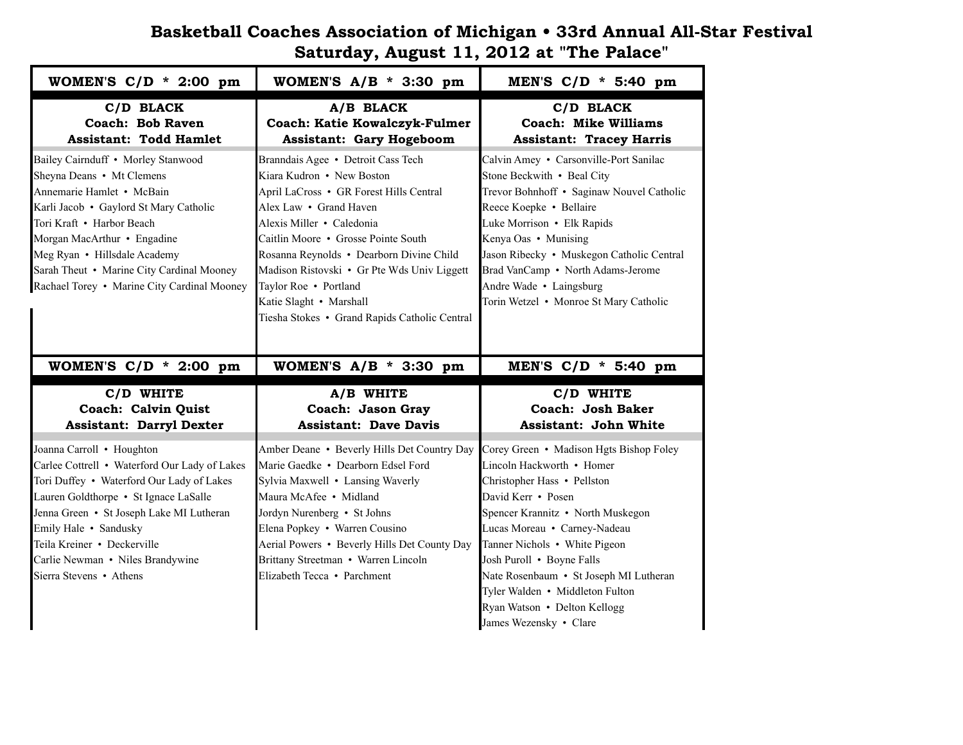## **Basketball Coaches Association of Michigan • 33rd Annual All-Star Festival Saturday, August 11, 2012 at "The Palace"**

| WOMEN'S $C/D$ * 2:00 pm                                                                                                                                                                                                                                                                                                        | WOMEN'S $A/B$ * 3:30 pm                                                                                                                                                                                                                                                                                                                                                                                  | MEN'S $C/D$ * 5:40 pm                                                                                                                                                                                                                                                                                                                                     |
|--------------------------------------------------------------------------------------------------------------------------------------------------------------------------------------------------------------------------------------------------------------------------------------------------------------------------------|----------------------------------------------------------------------------------------------------------------------------------------------------------------------------------------------------------------------------------------------------------------------------------------------------------------------------------------------------------------------------------------------------------|-----------------------------------------------------------------------------------------------------------------------------------------------------------------------------------------------------------------------------------------------------------------------------------------------------------------------------------------------------------|
| C/D BLACK<br>Coach: Bob Raven<br><b>Assistant: Todd Hamlet</b>                                                                                                                                                                                                                                                                 | A/B BLACK<br><b>Coach: Katie Kowalczyk-Fulmer</b><br><b>Assistant: Gary Hogeboom</b>                                                                                                                                                                                                                                                                                                                     | C/D BLACK<br>Coach: Mike Williams<br><b>Assistant: Tracey Harris</b>                                                                                                                                                                                                                                                                                      |
| Bailey Cairnduff • Morley Stanwood<br>Sheyna Deans • Mt Clemens<br>Annemarie Hamlet • McBain<br>Karli Jacob · Gaylord St Mary Catholic<br>Tori Kraft • Harbor Beach<br>Morgan MacArthur • Engadine<br>Meg Ryan • Hillsdale Academy<br>Sarah Theut • Marine City Cardinal Mooney<br>Rachael Torey • Marine City Cardinal Mooney | Branndais Agee • Detroit Cass Tech<br>Kiara Kudron • New Boston<br>April LaCross • GR Forest Hills Central<br>Alex Law • Grand Haven<br>Alexis Miller • Caledonia<br>Caitlin Moore • Grosse Pointe South<br>Rosanna Reynolds · Dearborn Divine Child<br>Madison Ristovski • Gr Pte Wds Univ Liggett<br>Taylor Roe • Portland<br>Katie Slaght • Marshall<br>Tiesha Stokes • Grand Rapids Catholic Central | Calvin Amey • Carsonville-Port Sanilac<br>Stone Beckwith • Beal City<br>Trevor Bohnhoff • Saginaw Nouvel Catholic<br>Reece Koepke · Bellaire<br>Luke Morrison • Elk Rapids<br>Kenya Oas • Munising<br>Jason Ribecky • Muskegon Catholic Central<br>Brad VanCamp • North Adams-Jerome<br>Andre Wade • Laingsburg<br>Torin Wetzel • Monroe St Mary Catholic |
| WOMEN'S $C/D$ * 2:00 pm                                                                                                                                                                                                                                                                                                        | WOMEN'S $A/B$ * 3:30 pm                                                                                                                                                                                                                                                                                                                                                                                  | MEN'S C/D * 5:40 pm                                                                                                                                                                                                                                                                                                                                       |
|                                                                                                                                                                                                                                                                                                                                |                                                                                                                                                                                                                                                                                                                                                                                                          |                                                                                                                                                                                                                                                                                                                                                           |
| C/D WHITE<br>Coach: Calvin Quist<br><b>Assistant: Darryl Dexter</b>                                                                                                                                                                                                                                                            | A/B WHITE<br>Coach: Jason Gray<br><b>Assistant: Dave Davis</b>                                                                                                                                                                                                                                                                                                                                           | C/D WHITE<br>Coach: Josh Baker<br><b>Assistant: John White</b>                                                                                                                                                                                                                                                                                            |